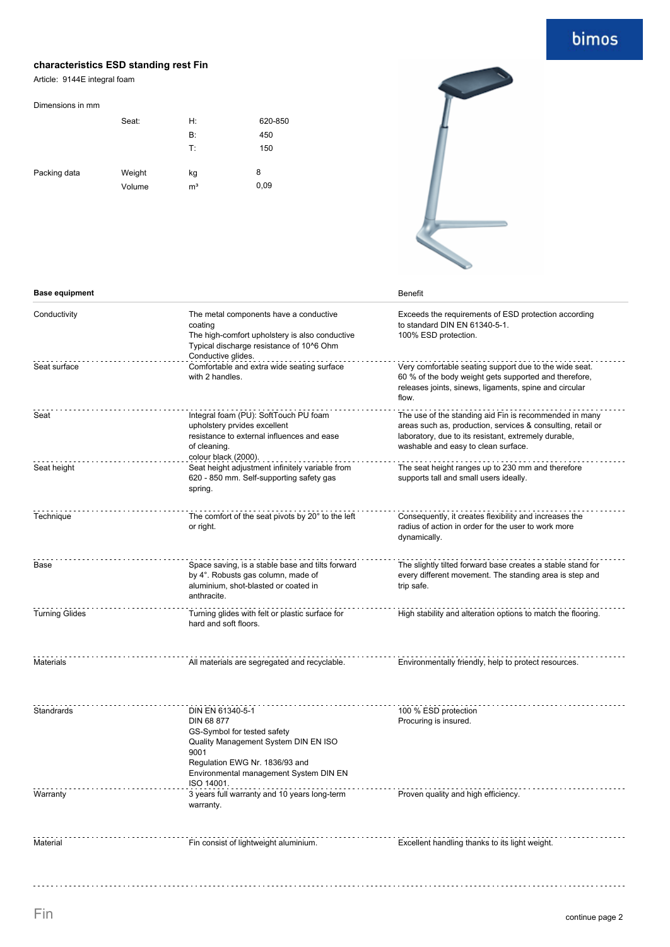# bimos

### **characteristics ESD standing rest Fin**

Article: 9144E integral foam

#### Dimensions in mm

|              | Seat:            | H:                   | 620-850   |
|--------------|------------------|----------------------|-----------|
|              |                  | <b>B</b> :           | 450       |
|              |                  | T:                   | 150       |
| Packing data | Weight<br>Volume | kg<br>m <sup>3</sup> | 8<br>0,09 |



| <b>Base equipment</b> |                                                                                                                                                                                                         | <b>Benefit</b>                                                                                                                                                                                                       |
|-----------------------|---------------------------------------------------------------------------------------------------------------------------------------------------------------------------------------------------------|----------------------------------------------------------------------------------------------------------------------------------------------------------------------------------------------------------------------|
| Conductivity          | The metal components have a conductive<br>coating<br>The high-comfort upholstery is also conductive<br>Typical discharge resistance of 10^6 Ohm<br>Conductive glides.                                   | Exceeds the requirements of ESD protection according<br>to standard DIN EN 61340-5-1.<br>100% ESD protection.                                                                                                        |
| Seat surface          | Comfortable and extra wide seating surface<br>with 2 handles.                                                                                                                                           | Very comfortable seating support due to the wide seat.<br>60 % of the body weight gets supported and therefore,<br>releases joints, sinews, ligaments, spine and circular<br>flow.                                   |
| Seat                  | Integral foam (PU): SoftTouch PU foam<br>upholstery prvides excellent<br>resistance to external influences and ease<br>of cleaning.<br>colour black (2000).                                             | The use of the standing aid Fin is recommended in many<br>areas such as, production, services & consulting, retail or<br>laboratory, due to its resistant, extremely durable,<br>washable and easy to clean surface. |
| Seat height           | Seat height adjustment infinitely variable from<br>620 - 850 mm. Self-supporting safety gas<br>spring.                                                                                                  | The seat height ranges up to 230 mm and therefore<br>supports tall and small users ideally.                                                                                                                          |
| Technique             | The comfort of the seat pivots by 20° to the left<br>or right.                                                                                                                                          | Consequently, it creates flexibility and increases the<br>radius of action in order for the user to work more<br>dynamically.                                                                                        |
| Base                  | Space saving, is a stable base and tilts forward<br>by 4°. Robusts gas column, made of<br>aluminium, shot-blasted or coated in<br>anthracite.                                                           | The slightly tilted forward base creates a stable stand for<br>every different movement. The standing area is step and<br>trip safe.                                                                                 |
| <b>Turning Glides</b> | Turning glides with felt or plastic surface for<br>hard and soft floors.                                                                                                                                | High stability and alteration options to match the flooring.                                                                                                                                                         |
| <b>Materials</b>      | All materials are segregated and recyclable.                                                                                                                                                            | Environmentally friendly, help to protect resources.                                                                                                                                                                 |
| Standrards            | DIN EN 61340-5-1<br>DIN 68 877<br>GS-Symbol for tested safety<br>Quality Management System DIN EN ISO<br>9001<br>Regulation EWG Nr. 1836/93 and<br>Environmental management System DIN EN<br>ISO 14001. | 100 % ESD protection<br>Procuring is insured.                                                                                                                                                                        |
| Warranty              | 3 years full warranty and 10 years long-term<br>warranty.                                                                                                                                               | Proven quality and high efficiency.                                                                                                                                                                                  |
| Material              | Fin consist of lightweight aluminium.                                                                                                                                                                   | Excellent handling thanks to its light weight.                                                                                                                                                                       |